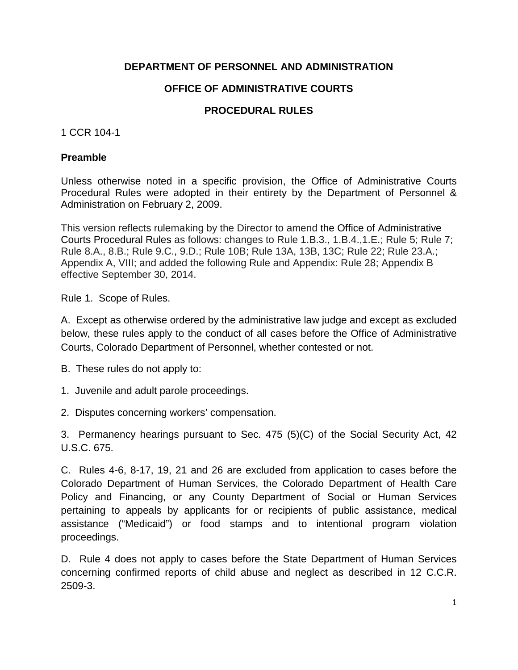### **DEPARTMENT OF PERSONNEL AND ADMINISTRATION**

# **OFFICE OF ADMINISTRATIVE COURTS**

### **PROCEDURAL RULES**

#### 1 CCR 104-1

#### **Preamble**

Unless otherwise noted in a specific provision, the Office of Administrative Courts Procedural Rules were adopted in their entirety by the Department of Personnel & Administration on February 2, 2009.

This version reflects rulemaking by the Director to amend the Office of Administrative Courts Procedural Rules as follows: changes to Rule 1.B.3., 1.B.4.,1.E.; Rule 5; Rule 7; Rule 8.A., 8.B.; Rule 9.C., 9.D.; Rule 10B; Rule 13A, 13B, 13C; Rule 22; Rule 23.A.; Appendix A, VIII; and added the following Rule and Appendix: Rule 28; Appendix B effective September 30, 2014.

Rule 1. Scope of Rules.

A. Except as otherwise ordered by the administrative law judge and except as excluded below, these rules apply to the conduct of all cases before the Office of Administrative Courts, Colorado Department of Personnel, whether contested or not.

B. These rules do not apply to:

1. Juvenile and adult parole proceedings.

2. Disputes concerning workers' compensation.

3. Permanency hearings pursuant to Sec. 475 (5)(C) of the Social Security Act, 42 U.S.C. 675.

C. Rules 4-6, 8-17, 19, 21 and 26 are excluded from application to cases before the Colorado Department of Human Services, the Colorado Department of Health Care Policy and Financing, or any County Department of Social or Human Services pertaining to appeals by applicants for or recipients of public assistance, medical assistance ("Medicaid") or food stamps and to intentional program violation proceedings.

D. Rule 4 does not apply to cases before the State Department of Human Services concerning confirmed reports of child abuse and neglect as described in 12 C.C.R. 2509-3.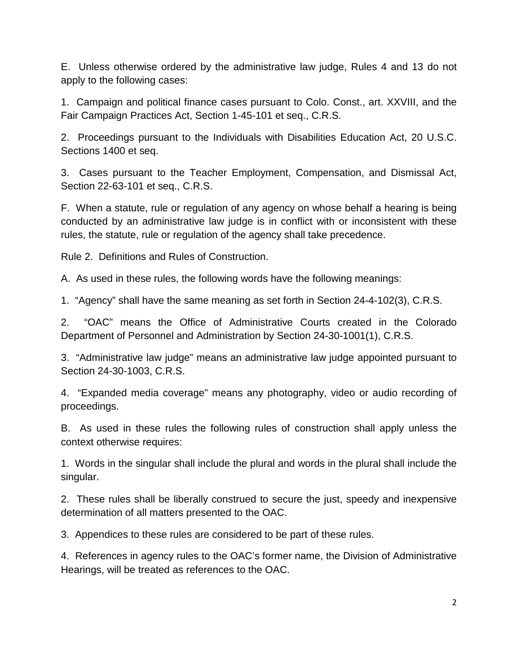E. Unless otherwise ordered by the administrative law judge, Rules 4 and 13 do not apply to the following cases:

1. Campaign and political finance cases pursuant to Colo. Const., art. XXVIII, and the Fair Campaign Practices Act, Section 1-45-101 et seq., C.R.S.

2. Proceedings pursuant to the Individuals with Disabilities Education Act, 20 U.S.C. Sections 1400 et seq.

3. Cases pursuant to the Teacher Employment, Compensation, and Dismissal Act, Section 22-63-101 et seq., C.R.S.

F. When a statute, rule or regulation of any agency on whose behalf a hearing is being conducted by an administrative law judge is in conflict with or inconsistent with these rules, the statute, rule or regulation of the agency shall take precedence.

Rule 2. Definitions and Rules of Construction.

A. As used in these rules, the following words have the following meanings:

1. "Agency" shall have the same meaning as set forth in Section 24-4-102(3), C.R.S.

2. "OAC" means the Office of Administrative Courts created in the Colorado Department of Personnel and Administration by Section 24-30-1001(1), C.R.S.

3. "Administrative law judge" means an administrative law judge appointed pursuant to Section 24-30-1003, C.R.S.

4. "Expanded media coverage" means any photography, video or audio recording of proceedings.

B. As used in these rules the following rules of construction shall apply unless the context otherwise requires:

1. Words in the singular shall include the plural and words in the plural shall include the singular.

2. These rules shall be liberally construed to secure the just, speedy and inexpensive determination of all matters presented to the OAC.

3. Appendices to these rules are considered to be part of these rules.

4. References in agency rules to the OAC's former name, the Division of Administrative Hearings, will be treated as references to the OAC.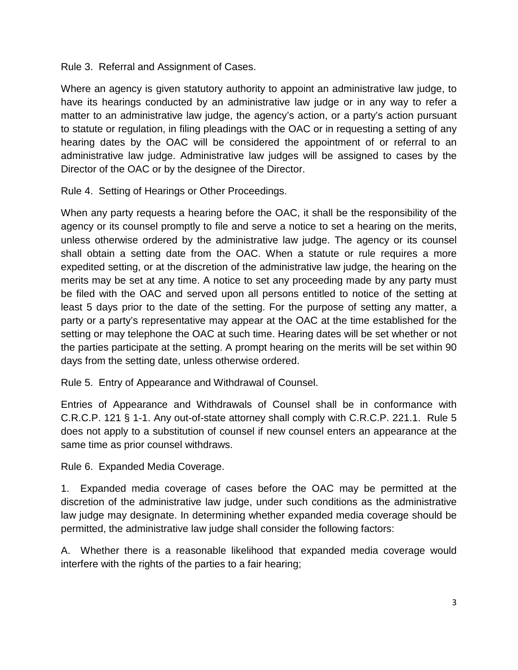Rule 3. Referral and Assignment of Cases.

Where an agency is given statutory authority to appoint an administrative law judge, to have its hearings conducted by an administrative law judge or in any way to refer a matter to an administrative law judge, the agency's action, or a party's action pursuant to statute or regulation, in filing pleadings with the OAC or in requesting a setting of any hearing dates by the OAC will be considered the appointment of or referral to an administrative law judge. Administrative law judges will be assigned to cases by the Director of the OAC or by the designee of the Director.

Rule 4. Setting of Hearings or Other Proceedings.

When any party requests a hearing before the OAC, it shall be the responsibility of the agency or its counsel promptly to file and serve a notice to set a hearing on the merits, unless otherwise ordered by the administrative law judge. The agency or its counsel shall obtain a setting date from the OAC. When a statute or rule requires a more expedited setting, or at the discretion of the administrative law judge, the hearing on the merits may be set at any time. A notice to set any proceeding made by any party must be filed with the OAC and served upon all persons entitled to notice of the setting at least 5 days prior to the date of the setting. For the purpose of setting any matter, a party or a party's representative may appear at the OAC at the time established for the setting or may telephone the OAC at such time. Hearing dates will be set whether or not the parties participate at the setting. A prompt hearing on the merits will be set within 90 days from the setting date, unless otherwise ordered.

Rule 5. Entry of Appearance and Withdrawal of Counsel.

Entries of Appearance and Withdrawals of Counsel shall be in conformance with C.R.C.P. 121 § 1-1. Any out-of-state attorney shall comply with C.R.C.P. 221.1. Rule 5 does not apply to a substitution of counsel if new counsel enters an appearance at the same time as prior counsel withdraws.

Rule 6. Expanded Media Coverage.

1. Expanded media coverage of cases before the OAC may be permitted at the discretion of the administrative law judge, under such conditions as the administrative law judge may designate. In determining whether expanded media coverage should be permitted, the administrative law judge shall consider the following factors:

A. Whether there is a reasonable likelihood that expanded media coverage would interfere with the rights of the parties to a fair hearing;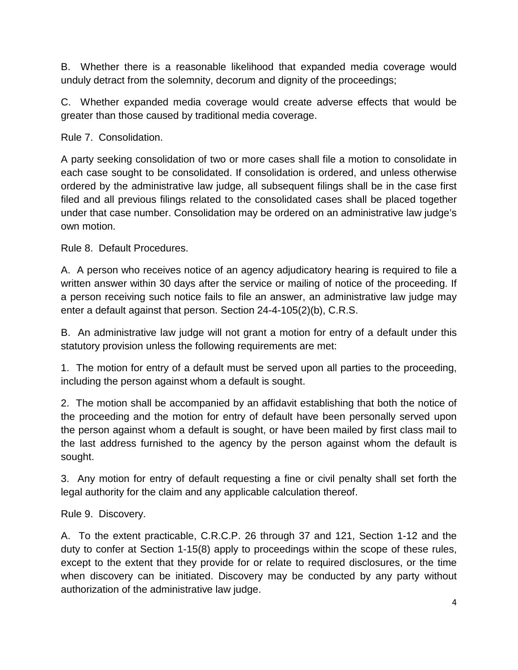B. Whether there is a reasonable likelihood that expanded media coverage would unduly detract from the solemnity, decorum and dignity of the proceedings;

C. Whether expanded media coverage would create adverse effects that would be greater than those caused by traditional media coverage.

Rule 7. Consolidation.

A party seeking consolidation of two or more cases shall file a motion to consolidate in each case sought to be consolidated. If consolidation is ordered, and unless otherwise ordered by the administrative law judge, all subsequent filings shall be in the case first filed and all previous filings related to the consolidated cases shall be placed together under that case number. Consolidation may be ordered on an administrative law judge's own motion.

Rule 8. Default Procedures.

A. A person who receives notice of an agency adjudicatory hearing is required to file a written answer within 30 days after the service or mailing of notice of the proceeding. If a person receiving such notice fails to file an answer, an administrative law judge may enter a default against that person. Section 24-4-105(2)(b), C.R.S.

B. An administrative law judge will not grant a motion for entry of a default under this statutory provision unless the following requirements are met:

1. The motion for entry of a default must be served upon all parties to the proceeding, including the person against whom a default is sought.

2. The motion shall be accompanied by an affidavit establishing that both the notice of the proceeding and the motion for entry of default have been personally served upon the person against whom a default is sought, or have been mailed by first class mail to the last address furnished to the agency by the person against whom the default is sought.

3. Any motion for entry of default requesting a fine or civil penalty shall set forth the legal authority for the claim and any applicable calculation thereof.

Rule 9. Discovery.

A. To the extent practicable, C.R.C.P. 26 through 37 and 121, Section 1-12 and the duty to confer at Section 1-15(8) apply to proceedings within the scope of these rules, except to the extent that they provide for or relate to required disclosures, or the time when discovery can be initiated. Discovery may be conducted by any party without authorization of the administrative law judge.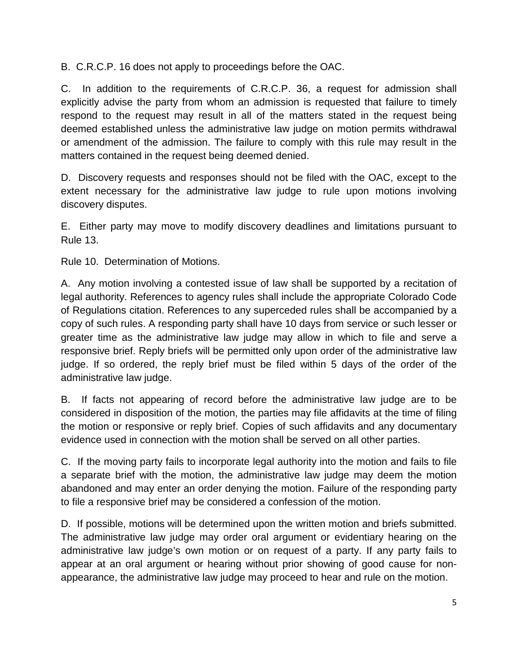B. C.R.C.P. 16 does not apply to proceedings before the OAC.

C. In addition to the requirements of C.R.C.P. 36, a request for admission shall explicitly advise the party from whom an admission is requested that failure to timely respond to the request may result in all of the matters stated in the request being deemed established unless the administrative law judge on motion permits withdrawal or amendment of the admission. The failure to comply with this rule may result in the matters contained in the request being deemed denied.

D. Discovery requests and responses should not be filed with the OAC, except to the extent necessary for the administrative law judge to rule upon motions involving discovery disputes.

E. Either party may move to modify discovery deadlines and limitations pursuant to Rule 13.

Rule 10. Determination of Motions.

A. Any motion involving a contested issue of law shall be supported by a recitation of legal authority. References to agency rules shall include the appropriate Colorado Code of Regulations citation. References to any superceded rules shall be accompanied by a copy of such rules. A responding party shall have 10 days from service or such lesser or greater time as the administrative law judge may allow in which to file and serve a responsive brief. Reply briefs will be permitted only upon order of the administrative law judge. If so ordered, the reply brief must be filed within 5 days of the order of the administrative law judge.

B. If facts not appearing of record before the administrative law judge are to be considered in disposition of the motion, the parties may file affidavits at the time of filing the motion or responsive or reply brief. Copies of such affidavits and any documentary evidence used in connection with the motion shall be served on all other parties.

C. If the moving party fails to incorporate legal authority into the motion and fails to file a separate brief with the motion, the administrative law judge may deem the motion abandoned and may enter an order denying the motion. Failure of the responding party to file a responsive brief may be considered a confession of the motion.

D. If possible, motions will be determined upon the written motion and briefs submitted. The administrative law judge may order oral argument or evidentiary hearing on the administrative law judge's own motion or on request of a party. If any party fails to appear at an oral argument or hearing without prior showing of good cause for nonappearance, the administrative law judge may proceed to hear and rule on the motion.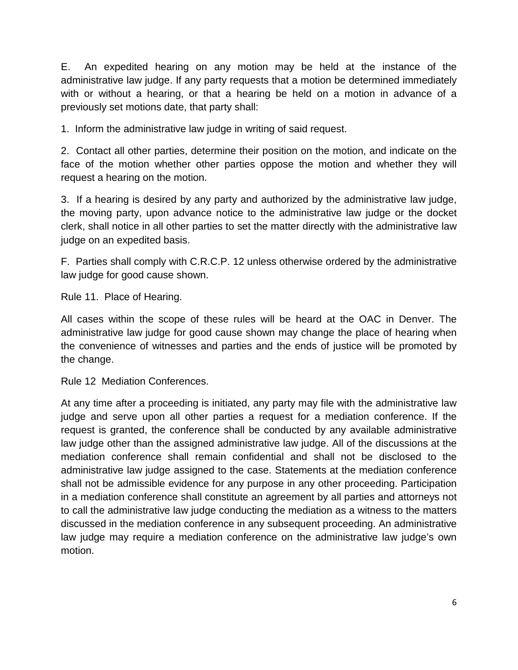E. An expedited hearing on any motion may be held at the instance of the administrative law judge. If any party requests that a motion be determined immediately with or without a hearing, or that a hearing be held on a motion in advance of a previously set motions date, that party shall:

1. Inform the administrative law judge in writing of said request.

2. Contact all other parties, determine their position on the motion, and indicate on the face of the motion whether other parties oppose the motion and whether they will request a hearing on the motion.

3. If a hearing is desired by any party and authorized by the administrative law judge, the moving party, upon advance notice to the administrative law judge or the docket clerk, shall notice in all other parties to set the matter directly with the administrative law judge on an expedited basis.

F. Parties shall comply with C.R.C.P. 12 unless otherwise ordered by the administrative law judge for good cause shown.

Rule 11. Place of Hearing.

All cases within the scope of these rules will be heard at the OAC in Denver. The administrative law judge for good cause shown may change the place of hearing when the convenience of witnesses and parties and the ends of justice will be promoted by the change.

Rule 12 Mediation Conferences.

At any time after a proceeding is initiated, any party may file with the administrative law judge and serve upon all other parties a request for a mediation conference. If the request is granted, the conference shall be conducted by any available administrative law judge other than the assigned administrative law judge. All of the discussions at the mediation conference shall remain confidential and shall not be disclosed to the administrative law judge assigned to the case. Statements at the mediation conference shall not be admissible evidence for any purpose in any other proceeding. Participation in a mediation conference shall constitute an agreement by all parties and attorneys not to call the administrative law judge conducting the mediation as a witness to the matters discussed in the mediation conference in any subsequent proceeding. An administrative law judge may require a mediation conference on the administrative law judge's own motion.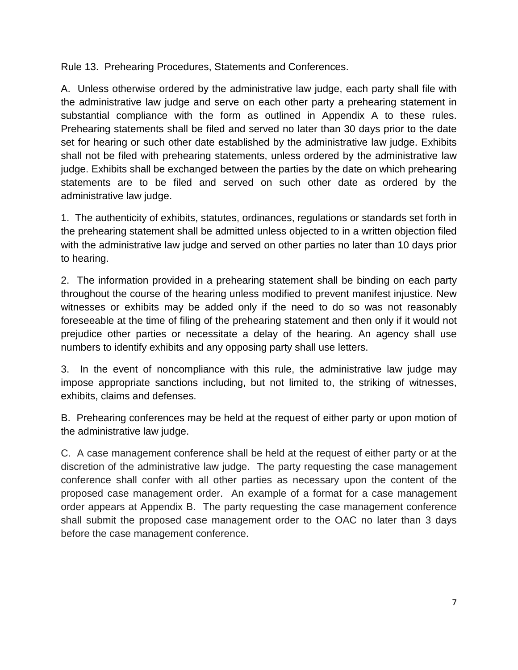Rule 13. Prehearing Procedures, Statements and Conferences.

A. Unless otherwise ordered by the administrative law judge, each party shall file with the administrative law judge and serve on each other party a prehearing statement in substantial compliance with the form as outlined in Appendix A to these rules. Prehearing statements shall be filed and served no later than 30 days prior to the date set for hearing or such other date established by the administrative law judge. Exhibits shall not be filed with prehearing statements, unless ordered by the administrative law judge. Exhibits shall be exchanged between the parties by the date on which prehearing statements are to be filed and served on such other date as ordered by the administrative law judge.

1. The authenticity of exhibits, statutes, ordinances, regulations or standards set forth in the prehearing statement shall be admitted unless objected to in a written objection filed with the administrative law judge and served on other parties no later than 10 days prior to hearing.

2. The information provided in a prehearing statement shall be binding on each party throughout the course of the hearing unless modified to prevent manifest injustice. New witnesses or exhibits may be added only if the need to do so was not reasonably foreseeable at the time of filing of the prehearing statement and then only if it would not prejudice other parties or necessitate a delay of the hearing. An agency shall use numbers to identify exhibits and any opposing party shall use letters.

3. In the event of noncompliance with this rule, the administrative law judge may impose appropriate sanctions including, but not limited to, the striking of witnesses, exhibits, claims and defenses.

B. Prehearing conferences may be held at the request of either party or upon motion of the administrative law judge.

C. A case management conference shall be held at the request of either party or at the discretion of the administrative law judge. The party requesting the case management conference shall confer with all other parties as necessary upon the content of the proposed case management order. An example of a format for a case management order appears at Appendix B. The party requesting the case management conference shall submit the proposed case management order to the OAC no later than 3 days before the case management conference.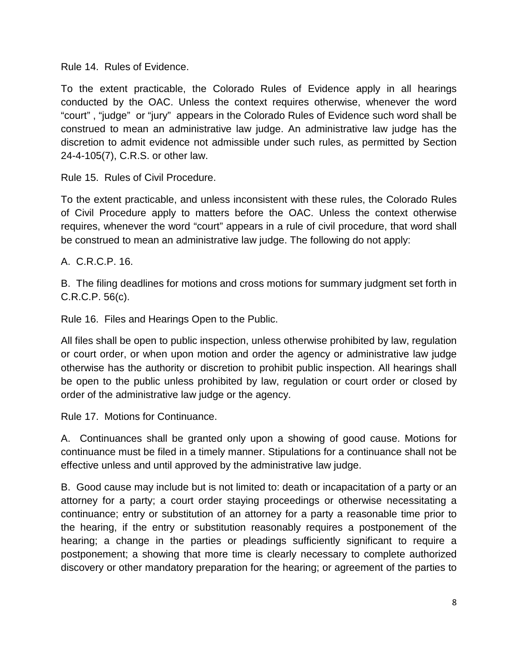Rule 14. Rules of Evidence.

To the extent practicable, the Colorado Rules of Evidence apply in all hearings conducted by the OAC. Unless the context requires otherwise, whenever the word "court" , "judge" or "jury" appears in the Colorado Rules of Evidence such word shall be construed to mean an administrative law judge. An administrative law judge has the discretion to admit evidence not admissible under such rules, as permitted by Section 24-4-105(7), C.R.S. or other law.

Rule 15. Rules of Civil Procedure.

To the extent practicable, and unless inconsistent with these rules, the Colorado Rules of Civil Procedure apply to matters before the OAC. Unless the context otherwise requires, whenever the word "court" appears in a rule of civil procedure, that word shall be construed to mean an administrative law judge. The following do not apply:

A. C.R.C.P. 16.

B. The filing deadlines for motions and cross motions for summary judgment set forth in C.R.C.P. 56(c).

Rule 16. Files and Hearings Open to the Public.

All files shall be open to public inspection, unless otherwise prohibited by law, regulation or court order, or when upon motion and order the agency or administrative law judge otherwise has the authority or discretion to prohibit public inspection. All hearings shall be open to the public unless prohibited by law, regulation or court order or closed by order of the administrative law judge or the agency.

Rule 17. Motions for Continuance.

A. Continuances shall be granted only upon a showing of good cause. Motions for continuance must be filed in a timely manner. Stipulations for a continuance shall not be effective unless and until approved by the administrative law judge.

B. Good cause may include but is not limited to: death or incapacitation of a party or an attorney for a party; a court order staying proceedings or otherwise necessitating a continuance; entry or substitution of an attorney for a party a reasonable time prior to the hearing, if the entry or substitution reasonably requires a postponement of the hearing; a change in the parties or pleadings sufficiently significant to require a postponement; a showing that more time is clearly necessary to complete authorized discovery or other mandatory preparation for the hearing; or agreement of the parties to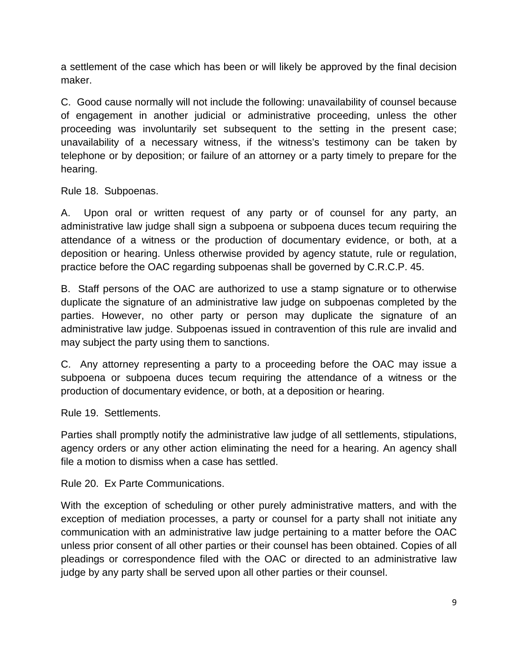a settlement of the case which has been or will likely be approved by the final decision maker.

C. Good cause normally will not include the following: unavailability of counsel because of engagement in another judicial or administrative proceeding, unless the other proceeding was involuntarily set subsequent to the setting in the present case; unavailability of a necessary witness, if the witness's testimony can be taken by telephone or by deposition; or failure of an attorney or a party timely to prepare for the hearing.

Rule 18. Subpoenas.

A. Upon oral or written request of any party or of counsel for any party, an administrative law judge shall sign a subpoena or subpoena duces tecum requiring the attendance of a witness or the production of documentary evidence, or both, at a deposition or hearing. Unless otherwise provided by agency statute, rule or regulation, practice before the OAC regarding subpoenas shall be governed by C.R.C.P. 45.

B. Staff persons of the OAC are authorized to use a stamp signature or to otherwise duplicate the signature of an administrative law judge on subpoenas completed by the parties. However, no other party or person may duplicate the signature of an administrative law judge. Subpoenas issued in contravention of this rule are invalid and may subject the party using them to sanctions.

C. Any attorney representing a party to a proceeding before the OAC may issue a subpoena or subpoena duces tecum requiring the attendance of a witness or the production of documentary evidence, or both, at a deposition or hearing.

Rule 19. Settlements.

Parties shall promptly notify the administrative law judge of all settlements, stipulations, agency orders or any other action eliminating the need for a hearing. An agency shall file a motion to dismiss when a case has settled.

Rule 20. Ex Parte Communications.

With the exception of scheduling or other purely administrative matters, and with the exception of mediation processes, a party or counsel for a party shall not initiate any communication with an administrative law judge pertaining to a matter before the OAC unless prior consent of all other parties or their counsel has been obtained. Copies of all pleadings or correspondence filed with the OAC or directed to an administrative law judge by any party shall be served upon all other parties or their counsel.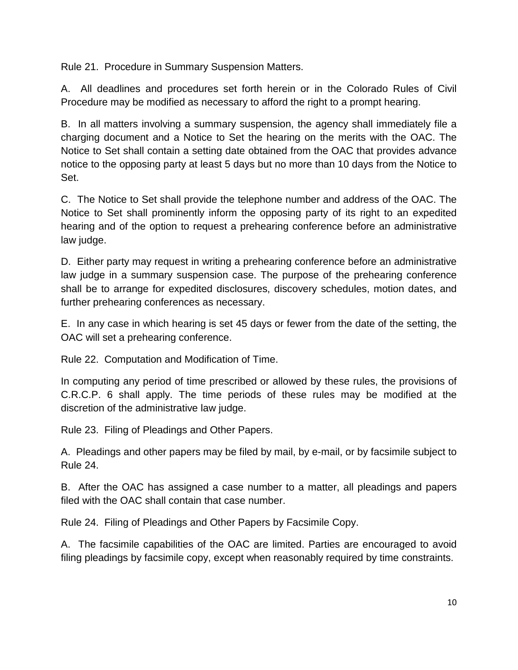Rule 21. Procedure in Summary Suspension Matters.

A. All deadlines and procedures set forth herein or in the Colorado Rules of Civil Procedure may be modified as necessary to afford the right to a prompt hearing.

B. In all matters involving a summary suspension, the agency shall immediately file a charging document and a Notice to Set the hearing on the merits with the OAC. The Notice to Set shall contain a setting date obtained from the OAC that provides advance notice to the opposing party at least 5 days but no more than 10 days from the Notice to Set.

C. The Notice to Set shall provide the telephone number and address of the OAC. The Notice to Set shall prominently inform the opposing party of its right to an expedited hearing and of the option to request a prehearing conference before an administrative law judge.

D. Either party may request in writing a prehearing conference before an administrative law judge in a summary suspension case. The purpose of the prehearing conference shall be to arrange for expedited disclosures, discovery schedules, motion dates, and further prehearing conferences as necessary.

E. In any case in which hearing is set 45 days or fewer from the date of the setting, the OAC will set a prehearing conference.

Rule 22. Computation and Modification of Time.

In computing any period of time prescribed or allowed by these rules, the provisions of C.R.C.P. 6 shall apply. The time periods of these rules may be modified at the discretion of the administrative law judge.

Rule 23. Filing of Pleadings and Other Papers.

A. Pleadings and other papers may be filed by mail, by e-mail, or by facsimile subject to Rule 24.

B. After the OAC has assigned a case number to a matter, all pleadings and papers filed with the OAC shall contain that case number.

Rule 24. Filing of Pleadings and Other Papers by Facsimile Copy.

A. The facsimile capabilities of the OAC are limited. Parties are encouraged to avoid filing pleadings by facsimile copy, except when reasonably required by time constraints.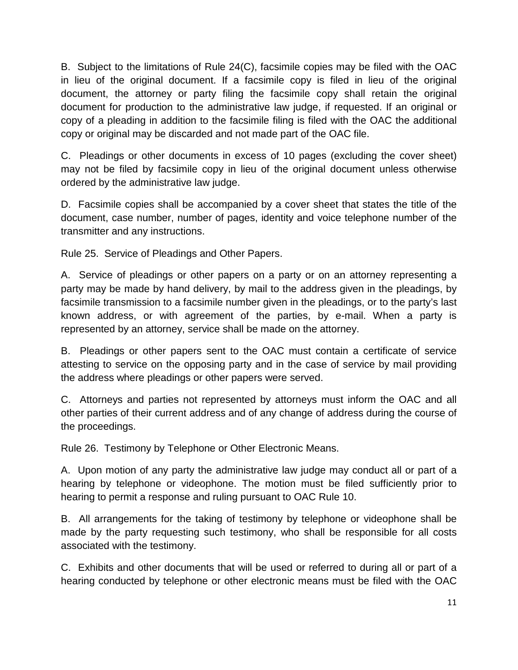B. Subject to the limitations of Rule 24(C), facsimile copies may be filed with the OAC in lieu of the original document. If a facsimile copy is filed in lieu of the original document, the attorney or party filing the facsimile copy shall retain the original document for production to the administrative law judge, if requested. If an original or copy of a pleading in addition to the facsimile filing is filed with the OAC the additional copy or original may be discarded and not made part of the OAC file.

C. Pleadings or other documents in excess of 10 pages (excluding the cover sheet) may not be filed by facsimile copy in lieu of the original document unless otherwise ordered by the administrative law judge.

D. Facsimile copies shall be accompanied by a cover sheet that states the title of the document, case number, number of pages, identity and voice telephone number of the transmitter and any instructions.

Rule 25. Service of Pleadings and Other Papers.

A. Service of pleadings or other papers on a party or on an attorney representing a party may be made by hand delivery, by mail to the address given in the pleadings, by facsimile transmission to a facsimile number given in the pleadings, or to the party's last known address, or with agreement of the parties, by e-mail. When a party is represented by an attorney, service shall be made on the attorney.

B. Pleadings or other papers sent to the OAC must contain a certificate of service attesting to service on the opposing party and in the case of service by mail providing the address where pleadings or other papers were served.

C. Attorneys and parties not represented by attorneys must inform the OAC and all other parties of their current address and of any change of address during the course of the proceedings.

Rule 26. Testimony by Telephone or Other Electronic Means.

A. Upon motion of any party the administrative law judge may conduct all or part of a hearing by telephone or videophone. The motion must be filed sufficiently prior to hearing to permit a response and ruling pursuant to OAC Rule 10.

B. All arrangements for the taking of testimony by telephone or videophone shall be made by the party requesting such testimony, who shall be responsible for all costs associated with the testimony.

C. Exhibits and other documents that will be used or referred to during all or part of a hearing conducted by telephone or other electronic means must be filed with the OAC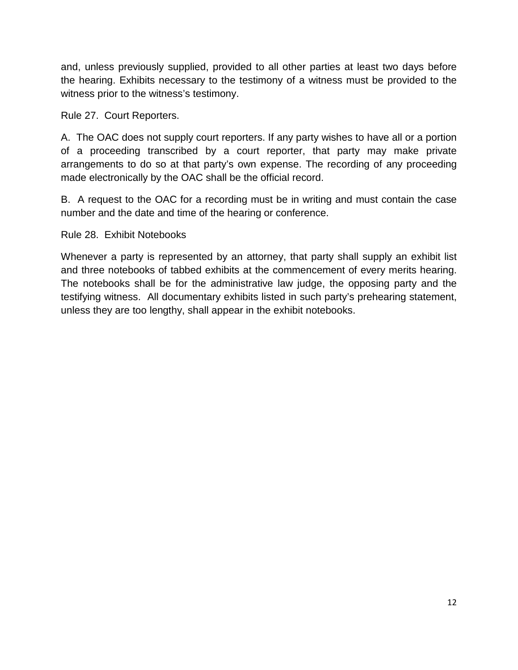and, unless previously supplied, provided to all other parties at least two days before the hearing. Exhibits necessary to the testimony of a witness must be provided to the witness prior to the witness's testimony.

Rule 27. Court Reporters.

A. The OAC does not supply court reporters. If any party wishes to have all or a portion of a proceeding transcribed by a court reporter, that party may make private arrangements to do so at that party's own expense. The recording of any proceeding made electronically by the OAC shall be the official record.

B. A request to the OAC for a recording must be in writing and must contain the case number and the date and time of the hearing or conference.

Rule 28. Exhibit Notebooks

Whenever a party is represented by an attorney, that party shall supply an exhibit list and three notebooks of tabbed exhibits at the commencement of every merits hearing. The notebooks shall be for the administrative law judge, the opposing party and the testifying witness. All documentary exhibits listed in such party's prehearing statement, unless they are too lengthy, shall appear in the exhibit notebooks.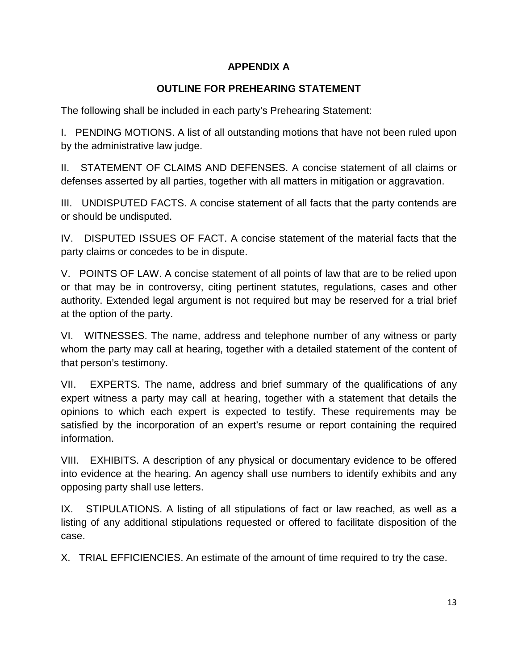# **APPENDIX A**

# **OUTLINE FOR PREHEARING STATEMENT**

The following shall be included in each party's Prehearing Statement:

I. PENDING MOTIONS. A list of all outstanding motions that have not been ruled upon by the administrative law judge.

II. STATEMENT OF CLAIMS AND DEFENSES. A concise statement of all claims or defenses asserted by all parties, together with all matters in mitigation or aggravation.

III. UNDISPUTED FACTS. A concise statement of all facts that the party contends are or should be undisputed.

IV. DISPUTED ISSUES OF FACT. A concise statement of the material facts that the party claims or concedes to be in dispute.

V. POINTS OF LAW. A concise statement of all points of law that are to be relied upon or that may be in controversy, citing pertinent statutes, regulations, cases and other authority. Extended legal argument is not required but may be reserved for a trial brief at the option of the party.

VI. WITNESSES. The name, address and telephone number of any witness or party whom the party may call at hearing, together with a detailed statement of the content of that person's testimony.

VII. EXPERTS. The name, address and brief summary of the qualifications of any expert witness a party may call at hearing, together with a statement that details the opinions to which each expert is expected to testify. These requirements may be satisfied by the incorporation of an expert's resume or report containing the required information.

VIII. EXHIBITS. A description of any physical or documentary evidence to be offered into evidence at the hearing. An agency shall use numbers to identify exhibits and any opposing party shall use letters.

IX. STIPULATIONS. A listing of all stipulations of fact or law reached, as well as a listing of any additional stipulations requested or offered to facilitate disposition of the case.

X. TRIAL EFFICIENCIES. An estimate of the amount of time required to try the case.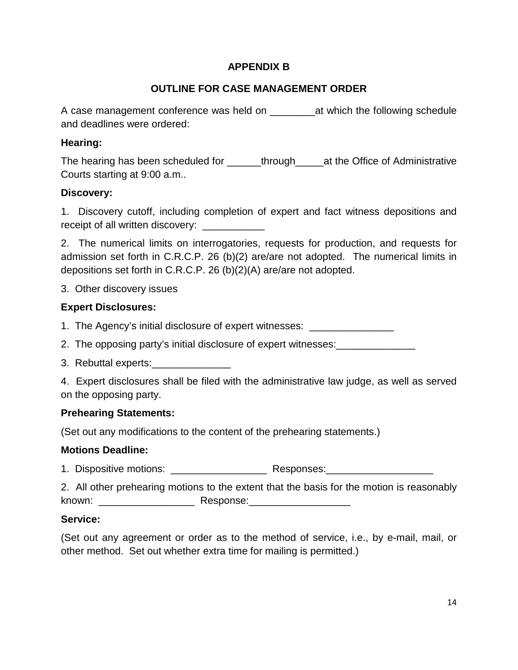# **APPENDIX B**

# **OUTLINE FOR CASE MANAGEMENT ORDER**

A case management conference was held on \_\_\_\_\_\_\_\_at which the following schedule and deadlines were ordered:

### **Hearing:**

The hearing has been scheduled for \_\_\_\_\_\_through\_\_\_\_\_at the Office of Administrative Courts starting at 9:00 a.m..

### **Discovery:**

1. Discovery cutoff, including completion of expert and fact witness depositions and receipt of all written discovery:

2. The numerical limits on interrogatories, requests for production, and requests for admission set forth in C.R.C.P. 26 (b)(2) are/are not adopted. The numerical limits in depositions set forth in C.R.C.P. 26 (b)(2)(A) are/are not adopted.

3. Other discovery issues

# **Expert Disclosures:**

1. The Agency's initial disclosure of expert witnesses:

2. The opposing party's initial disclosure of expert witnesses:

3. Rebuttal experts:

4. Expert disclosures shall be filed with the administrative law judge, as well as served on the opposing party.

#### **Prehearing Statements:**

(Set out any modifications to the content of the prehearing statements.)

#### **Motions Deadline:**

1. Dispositive motions: \_\_\_\_\_\_\_\_\_\_\_\_\_\_\_\_\_\_\_\_\_\_\_\_ Responses:\_\_\_\_\_\_\_\_\_\_\_\_\_\_\_\_\_\_\_\_\_

2. All other prehearing motions to the extent that the basis for the motion is reasonably known: \_\_\_\_\_\_\_\_\_\_\_\_\_\_\_\_\_ Response:\_\_\_\_\_\_\_\_\_\_\_\_\_\_\_\_\_\_

#### **Service:**

(Set out any agreement or order as to the method of service, i.e., by e-mail, mail, or other method. Set out whether extra time for mailing is permitted.)